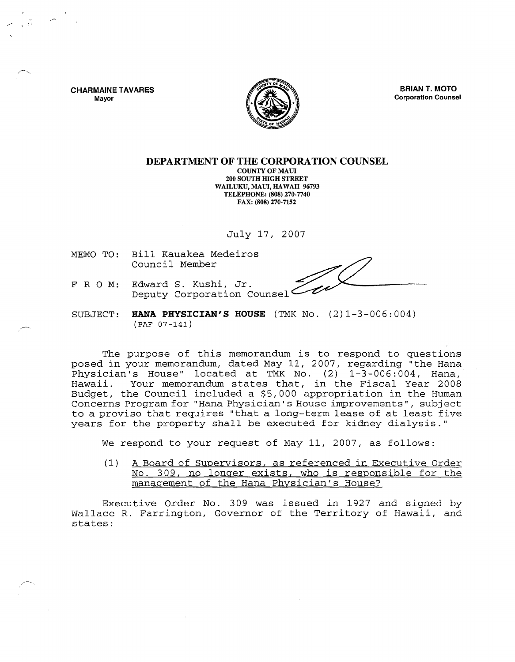**CHARMAINE TAVARES**  Mayor



**BRIAN T. MOTO** Corporation Counsel

## **DEPARTMENT OF THE CORPORATION COUNSEL**

COUNTY OF MAUl 200 SOUTH HIGH STREET WAILUKU, MAUI, HAWAII 96793 TELEPHONE: (808) 270·7740 FAX: (808) 270·7152

July 17, 2007

MEMO TO: Bill Kauakea Medeiros Council Member

- FRO M: Edward S. Kushi, Jr. Deputy Corporation Counsel
- SUBJECT: **KANA PHYSICIAN'S HOUSE** (TMK No. (2)1-3-006:004) (PAF 07-141)

The purpose of this memorandum is to respond to questions posed in your memorandum, dated May 11, 2007, regarding "the Hana Physician's House" located at TMK No. (2) 1-3-006:004, Hana, Hawaii. Your memorandum states that, in the Fiscal Year 2008 Budget, the Council included a \$5,000 appropriation in the Human Concerns Program for "Hana Physician's House improvements", subject to a proviso that requires "that a long-term lease of at least five years for the property shall be executed for kidney dialysis."

We respond to your request of May 11, 2007, as follows:

(1) A Board of Supervisors, as referenced in Executive Order No. 309, no longer exists, who is responsible for the management of the Hana Physician's House?

Executive Order No. 309 was issued in 1927 and signed by Wallace R. Farrington, Governor of the Territory of Hawaii, and states: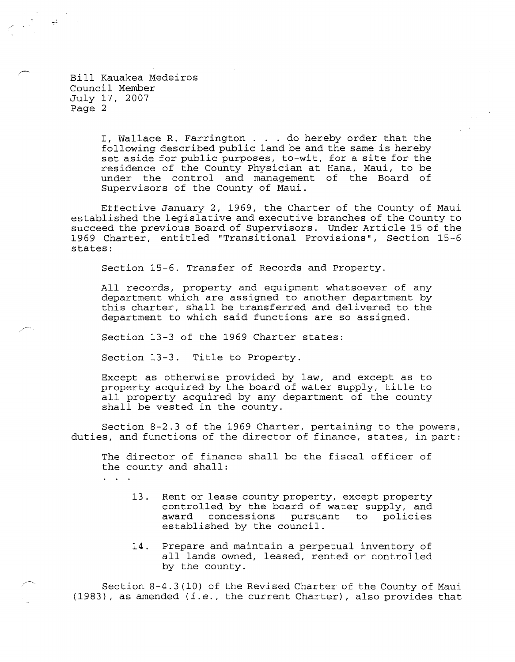Bill Kauakea Medeiros Council Member July 17, 2007 Page 2

 $\sim 10^{10}$ 

I, Wallace R. Farrington. . do hereby order that the following described public land be and the same is hereby set aside for public purposes, to-wit, for a site for the residence of the County Physician at Hana, Maui, to be under the control and management of the Board of Supervisors of the County of Maui.

Effective January 2, 1969, the Charter of the County of Maui established the legislative and executive branches of the County to succeed the previous Board of Supervisors. Under Article 15 of the 1969 Charter, entitled "Transitional Provisions", Section 15-6 states:

Section 15-6. Transfer of Records and Property.

All records, property and equipment whatsoever of any department which are assigned to another department by this charter, shall be transferred and delivered to the department to which said functions are so assigned.

Section 13-3 of the 1969 Charter states:

Section 13-3. Title to Property.

Except as otherwise provided by law, and except as to property acquired by the board of water supply, title to all property acquired by any department of the county shall be vested in the county.

Section 8-2.3 of the 1969 Charter, pertaining to the powers, duties, and functions of the director of finance, states, in part:

The director of finance shall be the fiscal officer of the county and shall:

 $\ddot{\phantom{a}}$ 

- 13 . Rent or lease county property, except property controlled by the board of water supply, and award concessions pursuant to policies established by the council.
- 14. Prepare and maintain a perpetual inventory of all lands owned, leased, rented or controlled by the county.

Section 8-4.3 (10) of the Revised Charter of the County of Maui (1983), as amended *(i.e.,* the current Charter), also provides that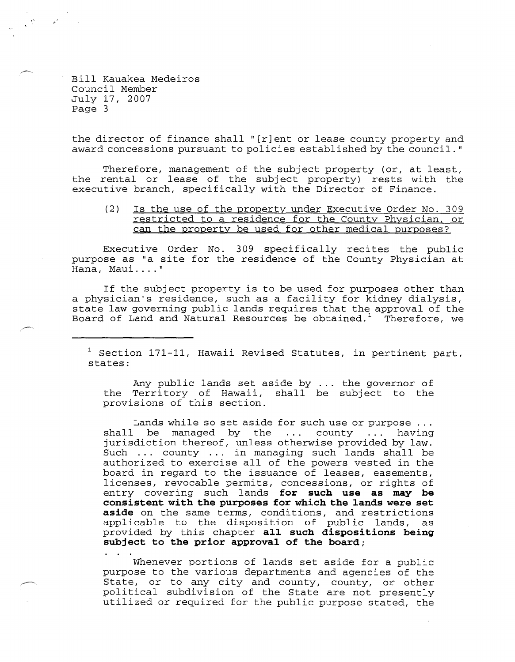Bill Kauakea Medeiros Council Member July 17, 2007 Page 3

the director of finance shall" [r]ent or lease county property and award concessions pursuant to policies established by the council. "

Therefore, management of the subject property (or, at least, the rental or lease of the subject property) rests with the executive branch, specifically with the Director of Finance.

(2) Is the use of the property under Executive Order No. 309 restricted to a residence for the County Physician, or can the property be used for other medical purposes?

Executive Order No. 309 specifically recites the public purpose as "a site for the residence of the County Physician at Hana, Maui...."

If the subject property is to be used for purposes other than a physician's residence, such as a facility for kidney dialysis, state law governing public lands requires that the approval of the Board of Land and Natural Resources be obtained.<sup>1</sup> Therefore, we

<sup>1</sup> Section 171-11, Hawaii Revised Statutes, in pertinent part, states:

Any public lands set aside by ... the governor of the Territory of Hawaii, shall be subject to the provisions of this section.

Lands while so set aside for such use or purpose ... shall be managed by the  $\dots$  county  $\dots$  having jurisdiction thereof, unless otherwise provided by law. Such ... county ... in managing such lands shall be authorized to exercise all of the powers vested in the board in regard to the issuance of leases, easements, licenses, revocable permits, concessions, or rights of entry covering such lands **for such use as may be consistent with the purposes for which the lands were set aside** on the same terms, conditions, and restrictions applicable to the disposition of public lands, as provided by this chapter **all such dispositions being subject to the prior approval of the board;** 

Whenever portions of lands set aside for a public purpose to the various departments and agencies of the State, or to any city and county, county, or other political subdivision of the State are not presently utilized or required for the public purpose stated, the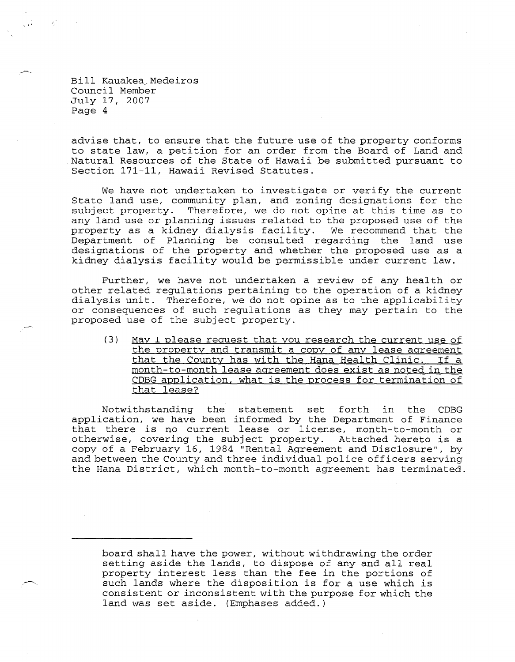Bill Kauakea/ Medeiros Council Member July 17, 2007 Page 4

, "

advise that, to ensure that the future use of the property conforms to state law, a petition for an order from the Board of Land and Natural Resources of the State of Hawaii be submitted pursuant to Section 171-11, Hawaii Revised Statutes.

We have not undertaken to investigate or verify the current State land use, community plan, and zoning designations for the subject property. Therefore, we do not opine at this time as to any land use or planning issues related to the proposed use of the property as a kidney dialysis facility. We recommend that the Department of Planning be consulted regarding the land use designations of the property and whether the proposed use as a kidney dialysis facility would be permissible under current law.

Further, we have not undertaken a review of any health or other related regulations pertaining to the operation of a kidney dialysis unit. Therefore, we do not opine as to the applicability or consequences of such regulations as they may pertain to the proposed use of the subject property.

(3) May I please request that you research the current use of the property and transmit a copy of any lease agreement that the County has with the Hana Health Clinic. If a month-to-month lease agreement does exist as noted in the CDBG application, what is the process for termination of that lease?

Notwithstanding the statement set forth in the CDBG application, we have been informed by the Department of Finance that there is no current lease or license, month-to-month or otherwise, covering the subject property. Attached hereto is a copy of a February 16, 1984 "Rental Agreement and Disclosure", by and between the County and three individual police officers serving the Hana District, which month-to-month agreement has terminated.

board shall have the power, without wi thdrawing the order setting aside the lands, to dispose of any and all real property interest less than the fee in the portions of such lands where the disposition is for a use which is consistent or inconsistent with the purpose for which the land was set aside. (Emphases added.)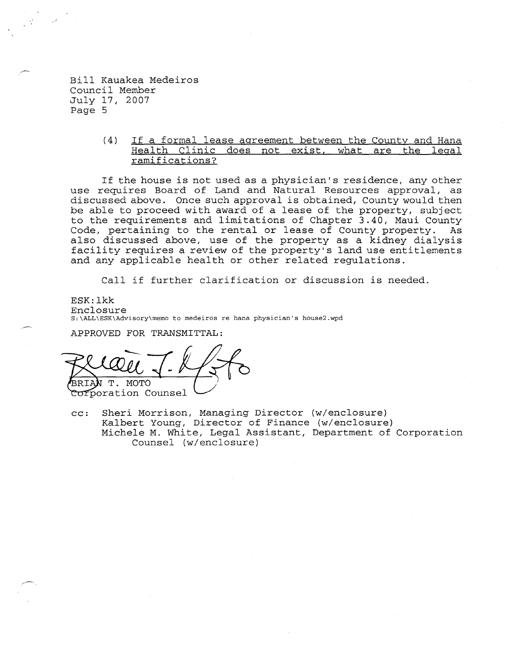Bill Kauakea Medeiros Council Member July 17, 2007 Page 5

> (4) If a formal lease agreement between the County and Hana Health Clinic does not exist, what are the legal ramifications?

If the house is not used as a physician's residence, any other use requires Board of Land and Natural Resources approval, as discussed above. Once such approval is obtained, County would then be able to proceed with award of a lease of the property, subject to the requirements and limitations of Chapter 3.40, Maui County Code, pertaining to the rental or lease of County property. As also discussed above, use of the property as a kidney dialysis facility requires a review of the property's land use entitlements and any applicable health or other related regulations.

Call if further clarification or discussion is needed.

ESK: lkk Enclosure S:\ALL\ESK\Advisory\memo to medeiros re hana physician's house2.wpd

APPROVED FOR TRANSMITTAL:

**MOTO** 

Corporation Counsel

cc: Sheri Morrison, Managing Director (w/enclosure) Kalbert Young, Director of Finance (w/enclosure) Michele M. White, Legal Assistant, Department of Corporation Counsel (w/enclosure)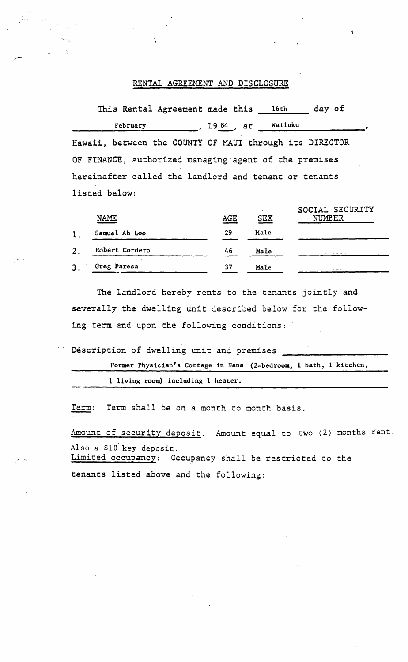## RENTAL AGREEMENT AND DISCLOSURE

This Rental Agreement made this 16th day of February  $19.84$ , at Wailuku Hawaii, between the COUNTY OF MAUI through its DIRECTOR OF FINANCE, euthorized managing 'agent of the premises hereinafter called the landlord and tenant or tenants listed below:

|    | <b>NAME</b>    | AGE | <b>SEX</b> | SOCIAL SECURITY<br><b>NUMBER</b> |
|----|----------------|-----|------------|----------------------------------|
| 1. | Samuel Ah Loo  | 29  | Male       |                                  |
| 2. | Robert Cordero | 46  | Male       | the company of the company of    |
| 3. | Greg Paresa    | 37  | Male       |                                  |

The landlord hereby rents to the tenants jointly and severally the dwelling unit described below for the following term and upon the following conditions:

Description of dwelling unit and premises

```
Former Physician's Cottage in Hana (2-bedroom, 1 bath, 1 kitchen,
```
1 living room) including 1 heater.

Term: Term shall be on a month to month basis.

Amount of security deposit: Amount equal to two (2) months rent. Also a \$lO'key deposit.

Limited occupancy: Occupancy shall be restricted to the tenants listed above and the following: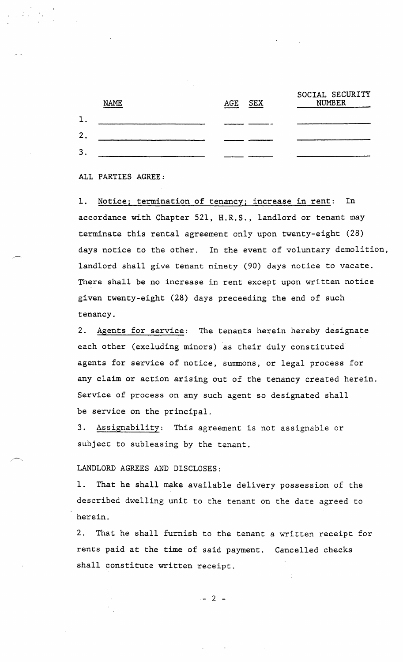|   | <b>NAME</b> | AGE | <b>SEX</b> | SOCIAL SECURITY<br><b>NUMBER</b> |
|---|-------------|-----|------------|----------------------------------|
|   |             |     |            |                                  |
| ∩ |             |     |            |                                  |
| 3 |             |     |            |                                  |

## ALL PARTIES AGREE:

1. Notice; termination of tenancy; increase in rent: In accordance with Chapter 521, H.R.S., landlord or tenant may terminate this rental agreement only upon twenty-eight (28) days notice to the other. In the event of voluntary demolition, landlord shall give tenant ninety (90) days notice to vacate. There shall be no increase in rent except upon written notice given twenty-eight (28) days preceeding the end of such tenancy.

2. Agents for service: The tenants herein hereby designate each other (excluding minors) as their duly constituted agents for service of notice, summons, or legal process for any claim or action arising out of the tenancy created herein. Service of process on any such agent so designated shall be service on the principal.

3. Assignability: This agreement is not assignable or subject to subleasing by the tenant.

## LANDLORD AGREES AND DISCLOSES:

1. That he shall make available delivery possession of the described dwelling unit to the tenant on the date agreed to herein.

2. That he shall furnish to the tenant a written receipt for rents paid at the time of said payment. Cancelled checks shall constitute written receipt.

 $- 2 -$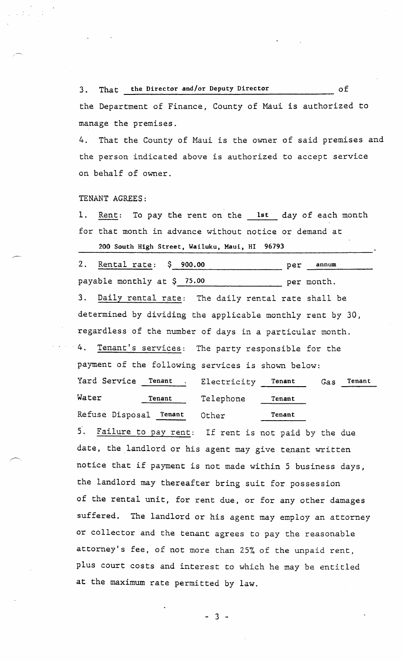3. That the Director and/or Deputy Director . of

the Department of Finance, County of Maui is authorized to manage the premises.

4. That the County of Maui is the owner of said premises and the person indicated above is authorized to accept service on behalf of owner.

TENANT AGREES:

1. Rent: To pay the rent on the 1st day of each month for that month in advance without notice or demand at

200 South High Street, Wailuku, Maui, HI 96793

2. Rental rate: \$ 900.00 ------------------------ per annum payable monthly at \$ 75.00 per month. 3. Daily rental rate: The daily rental rate shall be determined by dividing the applicable monthly rent by 3D, regardless of the number of days in a particular month. 4. Tenant's services: The party responsible for the payment of the following services is shown below: Yard Service Tenant . Electricity Tenant Gas Tenant

Water Tenant Refuse Disposal Tenant Telephone Other Tenant Tenant

5. Failure to pay rent: If rent is not paid by the due date, the landlord or his agent may give tenant written notice that if payment is not made within 5 business days, the landlord may thereafter bring suit for possession of the rental unit, for rent due, or for any other damages suffered. The landlord or his agent may employ an attorney or collector and the tenant agrees to pay the reasonable attorney's fee, of not more than 25% of the unpaid rent, plus court costs and interest to which he may be entitled at the maximum rate permitted by law.

- 3 -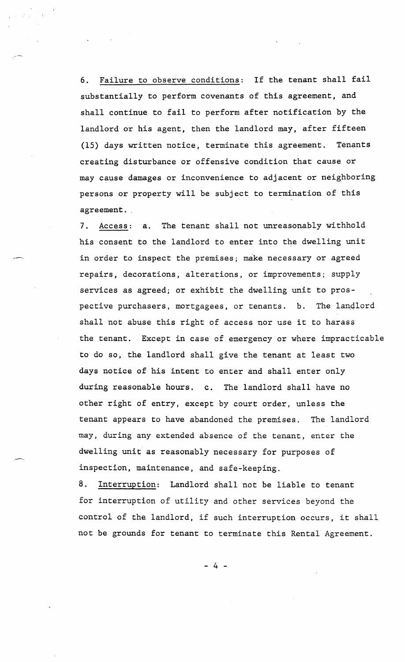6. Failure to observe conditions: If the tenant shall fail substantially to perform covenants of this agreement, and shall continue to fail to perform after notification by the landlord or his agent, then the landlord may, after fifteen (15) days written notice, terminate this agreement. Tenants creating disturbance or offensive condition that cause or may cause damages or inconvenience to adjacent or neighboring persons or property will be subject to termination of this agreement.

7. Access: a. The tenant shall not unreasonably withhold his consent to the landlord to enter into the dwelling unit in order to inspect the premises; make necessary or agreed repairs, decorations, alterations, or improvements; supply services as agreed; or exhibit the dwelling unit to prospective purchasers, mortgagees, or tenants. b. The landlord shall not abuse this right of access nor use it to harass the tenant. Except in case of emergency or where impracticable to do so, the landlord shall give the tenant at least two days notice of his intent to enter and shall enter only during reasonable hours. c. The landlord shall have no other right of entry, except by court order, unless the tenant appears to have abandoned the premises. The landlord may, during any extended absence of the tenant, enter the dwelling unit as reasonably necessary for purposes of inspection, maintenance, and safe-keeping.

8. Interruption: Landlord shall not be liable to tenant for interruption of utility and other services beyond the control of the landlord, if such interruption occurs, it shall not be grounds for tenant to terminate this Rental Agreement.

- 4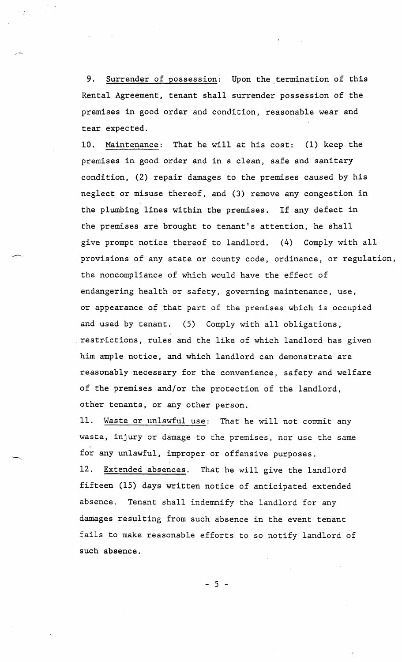9. Surrender of possession: Upon the termination of this Rental Agreement, tenant shall surrender possession of the premises in good order and condition, reasonable wear and tear expected.

10. Maintenance: That he will at his cost: (1) keep the premises in good order and in a clean, safe and sanitary condition, (2) repair damages to the premises caused by his neglect or misuse thereof, and (3) remove any congestion in the plumbing lines within the premises. If any defect in the premises are brought to tenant's attention, he shall give prompt notice thereof to landlord. (4) Comply with all provisions of any state or county code, ordinance, or regulation, the noncompliance of which would have the effect of endangering health or safety, governing maintenance, use, or appearance of that part of the premises which is occupied and used by tenant. (5) Comply with all obligations, restrictions, rules and the like of which landlord has given him ample notice, and which landlord can demonstrate are reasonably necessary for the convenience, safety and welfare of the premises and/or the protection of the landlord, other tenants, or any other person.

11. Waste or unlawful use: That he will not commit any waste, injury or damage to the premises, nor use the same for any unlawful, improper or offensive purposes.

12. Extended absences. That he will give the landlord fifteen (15) days written notice of anticipated extended absence. Tenant shall indemnify the landlord for any damages resulting from such absence in the event tenant fails to make reasonable efforts to so notify landlord of such absence.

- 5 -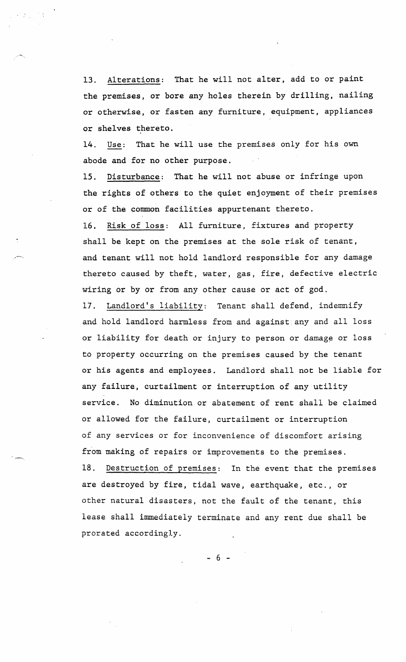13. Alterations: That he will not alter, add to or paint the premises, or bore any holes therein by drilling, nailing or otherwise, or fasten any furniture, equipment, appliances or shelves thereto.

14. Use: That he will use the premises only for his own abode and for no other purpose.

15. Disturbance: That he will not abuse or infringe upon the rights of others to the quiet enjoyment of their premises or of the common facilities appurtenant thereto. 16. Risk of loss: All furniture, fixtures and property shall be kept on the premises at the sole risk of tenant, and tenant will not hold landlord responsible for any damage

thereto caused by theft, water, gas, fire, defective electric wiring or by or from any other cause or act of god.

17. Landlord's liability: Tenant shall defend, indemnify and hold landlord harmless from and against any and all loss or liability for death or injury to person or damage or loss to property occurring on the premises caused by the tenant or his agents and employees. Landlord shall not be liable for any failure, curtailment or interruption of any utility service. No diminution or abatement of rent shall be claimed or allowed for the failure, curtailment or interruption of any services or for inconvenience of discomfort arising from making of repairs or improvements to the premises. 18. Destruction of premises: In the event that the premises

are destroyed by fire, tidal wave, earthquake, etc., or other natural disasters, not the fault of the tenant, this lease shall immediately terminate and any rent due shall be prorated accordingly.

- 6 -